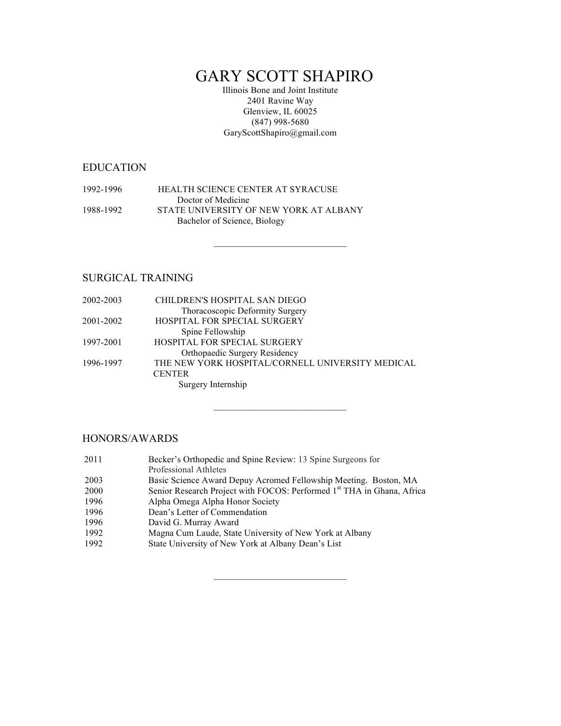# GARY SCOTT SHAPIRO

Illinois Bone and Joint Institute 2401 Ravine Way Glenview, IL 60025 (847) 998-5680 GaryScottShapiro@gmail.com

 $\mathcal{L}=\mathcal{L}=\mathcal{L}=\mathcal{L}=\mathcal{L}=\mathcal{L}=\mathcal{L}=\mathcal{L}=\mathcal{L}=\mathcal{L}=\mathcal{L}=\mathcal{L}=\mathcal{L}=\mathcal{L}=\mathcal{L}=\mathcal{L}=\mathcal{L}=\mathcal{L}=\mathcal{L}=\mathcal{L}=\mathcal{L}=\mathcal{L}=\mathcal{L}=\mathcal{L}=\mathcal{L}=\mathcal{L}=\mathcal{L}=\mathcal{L}=\mathcal{L}=\mathcal{L}=\mathcal{L}=\mathcal{L}=\mathcal{L}=\mathcal{L}=\mathcal{L}=\mathcal{L}=\mathcal{$ 

 $\mathcal{L}_\text{max}$  and  $\mathcal{L}_\text{max}$  and  $\mathcal{L}_\text{max}$  and  $\mathcal{L}_\text{max}$ 

 $\mathcal{L}=\mathcal{L}=\mathcal{L}=\mathcal{L}=\mathcal{L}=\mathcal{L}=\mathcal{L}=\mathcal{L}=\mathcal{L}=\mathcal{L}=\mathcal{L}=\mathcal{L}=\mathcal{L}=\mathcal{L}=\mathcal{L}=\mathcal{L}=\mathcal{L}=\mathcal{L}=\mathcal{L}=\mathcal{L}=\mathcal{L}=\mathcal{L}=\mathcal{L}=\mathcal{L}=\mathcal{L}=\mathcal{L}=\mathcal{L}=\mathcal{L}=\mathcal{L}=\mathcal{L}=\mathcal{L}=\mathcal{L}=\mathcal{L}=\mathcal{L}=\mathcal{L}=\mathcal{L}=\mathcal{$ 

## EDUCATION

1992-1996 HEALTH SCIENCE CENTER AT SYRACUSE Doctor of Medicine 1988-1992 STATE UNIVERSITY OF NEW YORK AT ALBANY Bachelor of Science, Biology

## SURGICAL TRAINING

| 2002-2003 | CHILDREN'S HOSPITAL SAN DIEGO                    |
|-----------|--------------------------------------------------|
|           | Thoracoscopic Deformity Surgery                  |
| 2001-2002 | <b>HOSPITAL FOR SPECIAL SURGERY</b>              |
|           | Spine Fellowship                                 |
| 1997-2001 | HOSPITAL FOR SPECIAL SURGERY                     |
|           | Orthopaedic Surgery Residency                    |
| 1996-1997 | THE NEW YORK HOSPITAL/CORNELL UNIVERSITY MEDICAL |
|           | <b>CENTER</b>                                    |
|           | Surgery Internship                               |

#### HONORS/AWARDS

| Becker's Orthopedic and Spine Review: 13 Spine Surgeons for                        |
|------------------------------------------------------------------------------------|
|                                                                                    |
| Basic Science Award Depuy Acromed Fellowship Meeting. Boston, MA                   |
| Senior Research Project with FOCOS: Performed 1 <sup>st</sup> THA in Ghana, Africa |
|                                                                                    |
|                                                                                    |
|                                                                                    |
| Magna Cum Laude, State University of New York at Albany                            |
| State University of New York at Albany Dean's List                                 |
|                                                                                    |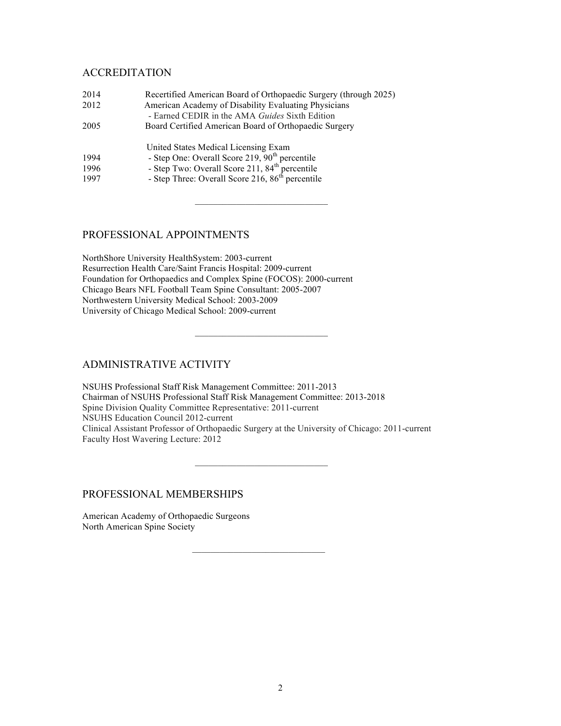## ACCREDITATION

| 2014 | Recertified American Board of Orthopaedic Surgery (through 2025)                                                           |
|------|----------------------------------------------------------------------------------------------------------------------------|
| 2012 | American Academy of Disability Evaluating Physicians<br>- Earned CEDIR in the AMA Guides Sixth Edition                     |
| 2005 | Board Certified American Board of Orthopaedic Surgery                                                                      |
|      | United States Medical Licensing Exam                                                                                       |
| 1994 | - Step One: Overall Score 219, 90 <sup>th</sup> percentile                                                                 |
| 1996 |                                                                                                                            |
| 1997 | - Step Two: Overall Score 211, 84 <sup>th</sup> percentile<br>- Step Three: Overall Score 216, 86 <sup>th</sup> percentile |
|      |                                                                                                                            |

 $\mathcal{L}_\text{max}$ 

#### PROFESSIONAL APPOINTMENTS

NorthShore University HealthSystem: 2003-current Resurrection Health Care/Saint Francis Hospital: 2009-current Foundation for Orthopaedics and Complex Spine (FOCOS): 2000-current Chicago Bears NFL Football Team Spine Consultant: 2005-2007 Northwestern University Medical School: 2003-2009 University of Chicago Medical School: 2009-current

#### ADMINISTRATIVE ACTIVITY

NSUHS Professional Staff Risk Management Committee: 2011-2013 Chairman of NSUHS Professional Staff Risk Management Committee: 2013-2018 Spine Division Quality Committee Representative: 2011-current NSUHS Education Council 2012-current Clinical Assistant Professor of Orthopaedic Surgery at the University of Chicago: 2011-current Faculty Host Wavering Lecture: 2012

## PROFESSIONAL MEMBERSHIPS

American Academy of Orthopaedic Surgeons North American Spine Society

 $\mathcal{L}_\text{max}$  and  $\mathcal{L}_\text{max}$  and  $\mathcal{L}_\text{max}$  and  $\mathcal{L}_\text{max}$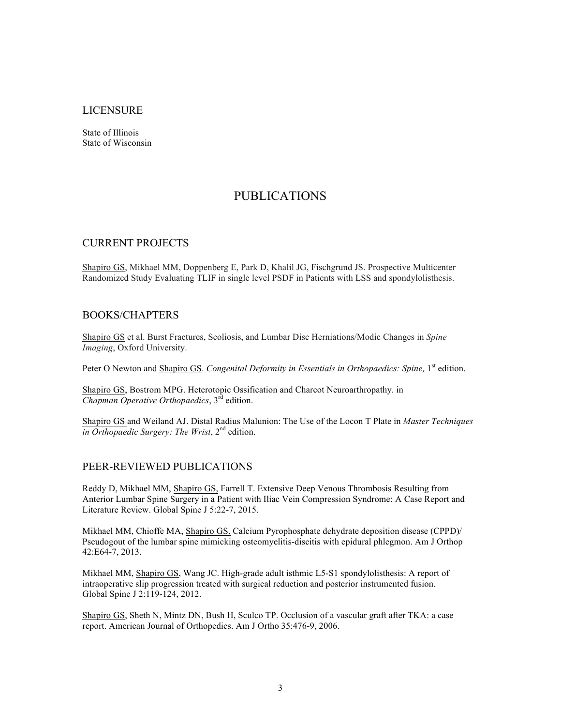#### LICENSURE

State of Illinois State of Wisconsin

# PUBLICATIONS

#### CURRENT PROJECTS

Shapiro GS, Mikhael MM, Doppenberg E, Park D, Khalil JG, Fischgrund JS. Prospective Multicenter Randomized Study Evaluating TLIF in single level PSDF in Patients with LSS and spondylolisthesis.

#### BOOKS/CHAPTERS

Shapiro GS et al. Burst Fractures, Scoliosis, and Lumbar Disc Herniations/Modic Changes in *Spine Imaging*, Oxford University.

Peter O Newton and Shapiro GS. *Congenital Deformity in Essentials in Orthopaedics: Spine*, 1<sup>st</sup> edition.

Shapiro GS, Bostrom MPG. Heterotopic Ossification and Charcot Neuroarthropathy. in *Chapman Operative Orthopaedics*, 3rd edition.

Shapiro GS and Weiland AJ. Distal Radius Malunion: The Use of the Locon T Plate in *Master Techniques*  in Orthopaedic Surgery: The Wrist, 2<sup>nd</sup> edition.

#### PEER-REVIEWED PUBLICATIONS

Reddy D, Mikhael MM, Shapiro GS, Farrell T. Extensive Deep Venous Thrombosis Resulting from Anterior Lumbar Spine Surgery in a Patient with Iliac Vein Compression Syndrome: A Case Report and Literature Review. Global Spine J 5:22-7, 2015.

Mikhael MM, Chioffe MA, Shapiro GS. Calcium Pyrophosphate dehydrate deposition disease (CPPD)/ Pseudogout of the lumbar spine mimicking osteomyelitis-discitis with epidural phlegmon. Am J Orthop 42:E64-7, 2013.

Mikhael MM, Shapiro GS, Wang JC. High-grade adult isthmic L5-S1 spondylolisthesis: A report of intraoperative slip progression treated with surgical reduction and posterior instrumented fusion. Global Spine J 2:119-124, 2012.

Shapiro GS, Sheth N, Mintz DN, Bush H, Sculco TP. Occlusion of a vascular graft after TKA: a case report. American Journal of Orthopedics. Am J Ortho 35:476-9, 2006.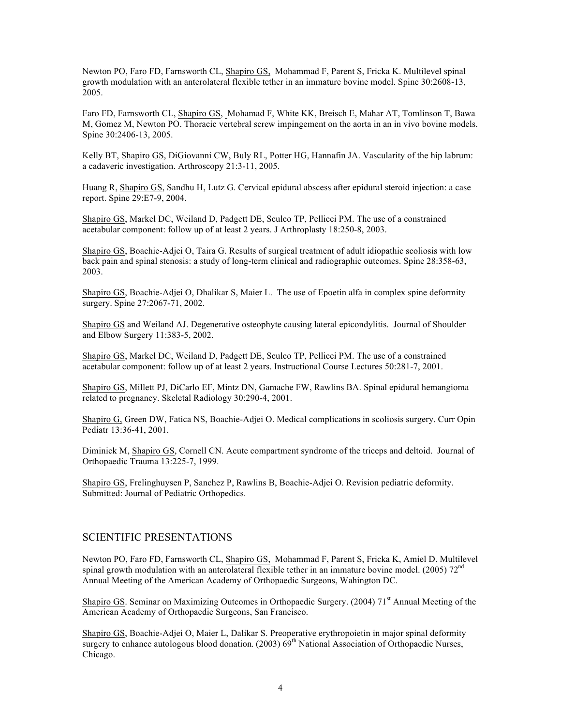Newton PO, Faro FD, Farnsworth CL, Shapiro GS, Mohammad F, Parent S, Fricka K. Multilevel spinal growth modulation with an anterolateral flexible tether in an immature bovine model. Spine 30:2608-13, 2005.

Faro FD, Farnsworth CL, Shapiro GS, Mohamad F, White KK, Breisch E, Mahar AT, Tomlinson T, Bawa M, Gomez M, Newton PO. Thoracic vertebral screw impingement on the aorta in an in vivo bovine models. Spine 30:2406-13, 2005.

Kelly BT, Shapiro GS, DiGiovanni CW, Buly RL, Potter HG, Hannafin JA. Vascularity of the hip labrum: a cadaveric investigation. Arthroscopy 21:3-11, 2005.

Huang R, Shapiro GS, Sandhu H, Lutz G. Cervical epidural abscess after epidural steroid injection: a case report. Spine 29:E7-9, 2004.

Shapiro GS, Markel DC, Weiland D, Padgett DE, Sculco TP, Pellicci PM. The use of a constrained acetabular component: follow up of at least 2 years. J Arthroplasty 18:250-8, 2003.

Shapiro GS, Boachie-Adjei O, Taira G. Results of surgical treatment of adult idiopathic scoliosis with low back pain and spinal stenosis: a study of long-term clinical and radiographic outcomes. Spine 28:358-63, 2003.

Shapiro GS, Boachie-Adjei O, Dhalikar S, Maier L. The use of Epoetin alfa in complex spine deformity surgery. Spine 27:2067-71, 2002.

Shapiro GS and Weiland AJ. Degenerative osteophyte causing lateral epicondylitis. Journal of Shoulder and Elbow Surgery 11:383-5, 2002.

Shapiro GS, Markel DC, Weiland D, Padgett DE, Sculco TP, Pellicci PM. The use of a constrained acetabular component: follow up of at least 2 years. Instructional Course Lectures 50:281-7, 2001.

Shapiro GS, Millett PJ, DiCarlo EF, Mintz DN, Gamache FW, Rawlins BA. Spinal epidural hemangioma related to pregnancy. Skeletal Radiology 30:290-4, 2001.

Shapiro G, Green DW, Fatica NS, Boachie-Adjei O. Medical complications in scoliosis surgery. Curr Opin Pediatr 13:36-41, 2001.

Diminick M, Shapiro GS, Cornell CN. Acute compartment syndrome of the triceps and deltoid. Journal of Orthopaedic Trauma 13:225-7, 1999.

Shapiro GS, Frelinghuysen P, Sanchez P, Rawlins B, Boachie-Adjei O. Revision pediatric deformity. Submitted: Journal of Pediatric Orthopedics.

#### SCIENTIFIC PRESENTATIONS

Newton PO, Faro FD, Farnsworth CL, Shapiro GS, Mohammad F, Parent S, Fricka K, Amiel D. Multilevel spinal growth modulation with an anterolateral flexible tether in an immature bovine model. (2005)  $72<sup>nd</sup>$ Annual Meeting of the American Academy of Orthopaedic Surgeons, Wahington DC.

Shapiro GS. Seminar on Maximizing Outcomes in Orthopaedic Surgery. (2004) 71<sup>st</sup> Annual Meeting of the American Academy of Orthopaedic Surgeons, San Francisco.

Shapiro GS, Boachie-Adjei O, Maier L, Dalikar S. Preoperative erythropoietin in major spinal deformity surgery to enhance autologous blood donation.  $(2003) 69<sup>th</sup>$  National Association of Orthopaedic Nurses, Chicago.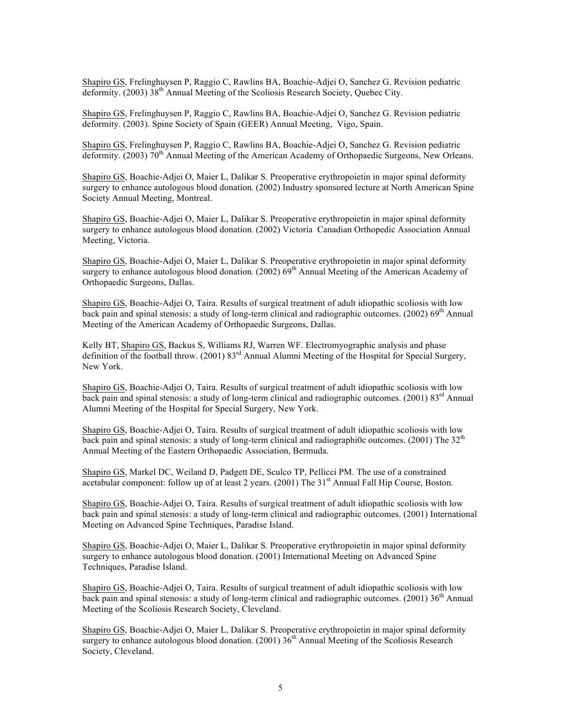Shapiro GS, Frelinghuysen P, Raggio C, Rawlins BA, Boachie-Adjei O, Sanchez G. Revision pediatric deformity. (2003)  $38<sup>th</sup>$  Annual Meeting of the Scoliosis Research Society, Quebec City.

Shapiro GS, Frelinghuysen P, Raggio C, Rawlins BA, Boachie-Adjei O, Sanchez G. Revision pediatric deformity. (2003). Spine Society of Spain (GEER) Annual Meeting, Vigo, Spain.

Shapiro GS, Frelinghuysen P, Raggio C, Rawlins BA, Boachie-Adjei O, Sanchez G. Revision pediatric deformity. (2003) 70<sup>th</sup> Annual Meeting of the American Academy of Orthopaedic Surgeons, New Orleans.

Shapiro GS, Boachie-Adjei O, Maier L, Dalikar S. Preoperative erythropoietin in major spinal deformity surgery to enhance autologous blood donation. (2002) Industry sponsored lecture at North American Spine Society Annual Meeting, Montreal.

Shapiro GS, Boachie-Adjei O, Maier L, Dalikar S. Preoperative erythropoietin in major spinal deformity surgery to enhance autologous blood donation. (2002) Victoria Canadian Orthopedic Association Annual Meeting, Victoria.

Shapiro GS, Boachie-Adjei O, Maier L, Dalikar S. Preoperative erythropoietin in major spinal deformity surgery to enhance autologous blood donation.  $(2002)$  69<sup>th</sup> Annual Meeting of the American Academy of Orthopaedic Surgeons, Dallas.

Shapiro GS, Boachie-Adjei O, Taira. Results of surgical treatment of adult idiopathic scoliosis with low back pain and spinal stenosis: a study of long-term clinical and radiographic outcomes. (2002)  $69<sup>th</sup>$  Annual Meeting of the American Academy of Orthopaedic Surgeons, Dallas.

Kelly BT, Shapiro GS, Backus S, Williams RJ, Warren WF. Electromyographic analysis and phase definition of the football throw. (2001) 83<sup>rd</sup> Annual Alumni Meeting of the Hospital for Special Surgery, New York.

Shapiro GS, Boachie-Adjei O, Taira. Results of surgical treatment of adult idiopathic scoliosis with low back pain and spinal stenosis: a study of long-term clinical and radiographic outcomes. (2001) 83<sup>rd</sup> Annual Alumni Meeting of the Hospital for Special Surgery, New York.

Shapiro GS, Boachie-Adjei O, Taira. Results of surgical treatment of adult idiopathic scoliosis with low back pain and spinal stenosis: a study of long-term clinical and radiographi0c outcomes. (2001) The  $32<sup>th</sup>$ Annual Meeting of the Eastern Orthopaedic Association, Bermuda.

Shapiro GS, Markel DC, Weiland D, Padgett DE, Sculco TP, Pellicci PM. The use of a constrained acetabular component: follow up of at least 2 years. (2001) The 31<sup>st</sup> Annual Fall Hip Course, Boston.

Shapiro GS, Boachie-Adjei O, Taira. Results of surgical treatment of adult idiopathic scoliosis with low back pain and spinal stenosis: a study of long-term clinical and radiographic outcomes. (2001) International Meeting on Advanced Spine Techniques, Paradise Island.

Shapiro GS, Boachie-Adjei O, Maier L, Dalikar S. Preoperative erythropoietin in major spinal deformity surgery to enhance autologous blood donation. (2001) International Meeting on Advanced Spine Techniques, Paradise Island.

Shapiro GS, Boachie-Adjei O, Taira. Results of surgical treatment of adult idiopathic scoliosis with low back pain and spinal stenosis: a study of long-term clinical and radiographic outcomes. (2001)  $36<sup>th</sup>$  Annual Meeting of the Scoliosis Research Society, Cleveland.

Shapiro GS, Boachie-Adjei O, Maier L, Dalikar S. Preoperative erythropoietin in major spinal deformity surgery to enhance autologous blood donation.  $(2001)$  36<sup>th</sup> Annual Meeting of the Scoliosis Research Society, Cleveland.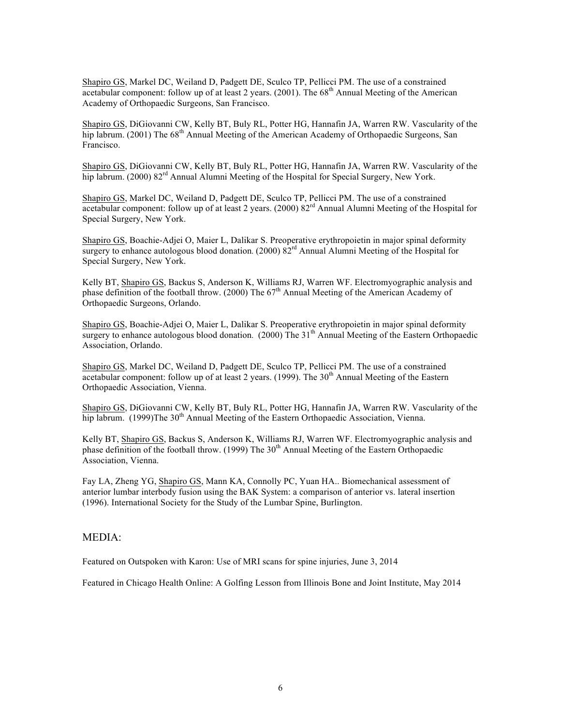Shapiro GS, Markel DC, Weiland D, Padgett DE, Sculco TP, Pellicci PM. The use of a constrained acetabular component: follow up of at least 2 years.  $(2001)$ . The 68<sup>th</sup> Annual Meeting of the American Academy of Orthopaedic Surgeons, San Francisco.

Shapiro GS, DiGiovanni CW, Kelly BT, Buly RL, Potter HG, Hannafin JA, Warren RW. Vascularity of the hip labrum. (2001) The 68<sup>th</sup> Annual Meeting of the American Academy of Orthopaedic Surgeons, San Francisco.

Shapiro GS, DiGiovanni CW, Kelly BT, Buly RL, Potter HG, Hannafin JA, Warren RW. Vascularity of the hip labrum. (2000)  $82^{rd}$  Annual Alumni Meeting of the Hospital for Special Surgery, New York.

Shapiro GS, Markel DC, Weiland D, Padgett DE, Sculco TP, Pellicci PM. The use of a constrained acetabular component: follow up of at least 2 years. (2000) 82<sup>rd</sup> Annual Alumni Meeting of the Hospital for Special Surgery, New York.

Shapiro GS, Boachie-Adjei O, Maier L, Dalikar S. Preoperative erythropoietin in major spinal deformity surgery to enhance autologous blood donation.  $(2000) 82<sup>rd</sup>$  Annual Alumni Meeting of the Hospital for Special Surgery, New York.

Kelly BT, Shapiro GS, Backus S, Anderson K, Williams RJ, Warren WF. Electromyographic analysis and phase definition of the football throw. (2000) The  $67<sup>th</sup>$  Annual Meeting of the American Academy of Orthopaedic Surgeons, Orlando.

Shapiro GS, Boachie-Adjei O, Maier L, Dalikar S. Preoperative erythropoietin in major spinal deformity surgery to enhance autologous blood donation. (2000) The 31<sup>th</sup> Annual Meeting of the Eastern Orthopaedic Association, Orlando.

Shapiro GS, Markel DC, Weiland D, Padgett DE, Sculco TP, Pellicci PM. The use of a constrained acetabular component: follow up of at least 2 years. (1999). The  $30<sup>th</sup>$  Annual Meeting of the Eastern Orthopaedic Association, Vienna.

Shapiro GS, DiGiovanni CW, Kelly BT, Buly RL, Potter HG, Hannafin JA, Warren RW. Vascularity of the hip labrum. (1999)The  $30<sup>th</sup>$  Annual Meeting of the Eastern Orthopaedic Association, Vienna.

Kelly BT, Shapiro GS, Backus S, Anderson K, Williams RJ, Warren WF. Electromyographic analysis and phase definition of the football throw. (1999) The 30<sup>th</sup> Annual Meeting of the Eastern Orthopaedic Association, Vienna.

Fay LA, Zheng YG, Shapiro GS, Mann KA, Connolly PC, Yuan HA.. Biomechanical assessment of anterior lumbar interbody fusion using the BAK System: a comparison of anterior vs. lateral insertion (1996). International Society for the Study of the Lumbar Spine, Burlington.

#### MEDIA:

Featured on Outspoken with Karon: Use of MRI scans for spine injuries, June 3, 2014

Featured in Chicago Health Online: A Golfing Lesson from Illinois Bone and Joint Institute, May 2014